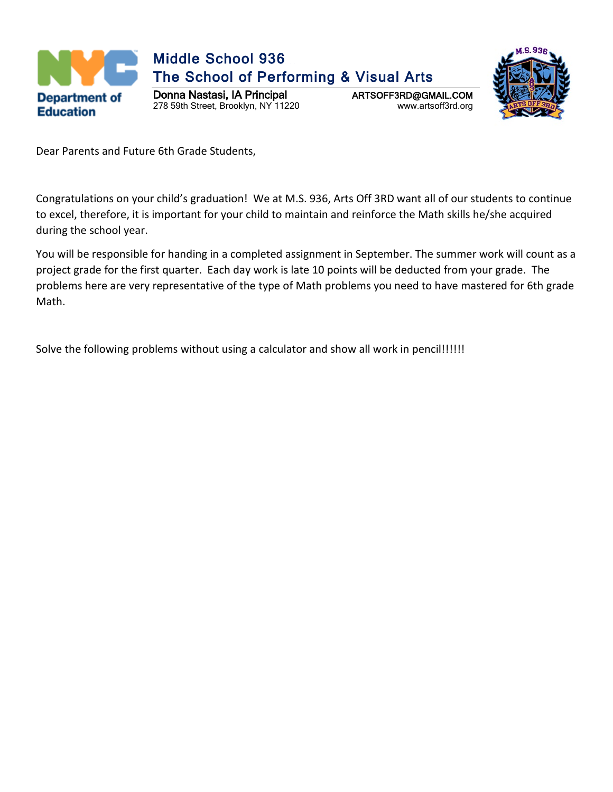



Dear Parents and Future 6th Grade Students,

Congratulations on your child's graduation! We at M.S. 936, Arts Off 3RD want all of our students to continue to excel, therefore, it is important for your child to maintain and reinforce the Math skills he/she acquired during the school year.

You will be responsible for handing in a completed assignment in September. The summer work will count as a project grade for the first quarter. Each day work is late 10 points will be deducted from your grade. The problems here are very representative of the type of Math problems you need to have mastered for 6th grade Math.

Solve the following problems without using a calculator and show all work in pencil!!!!!!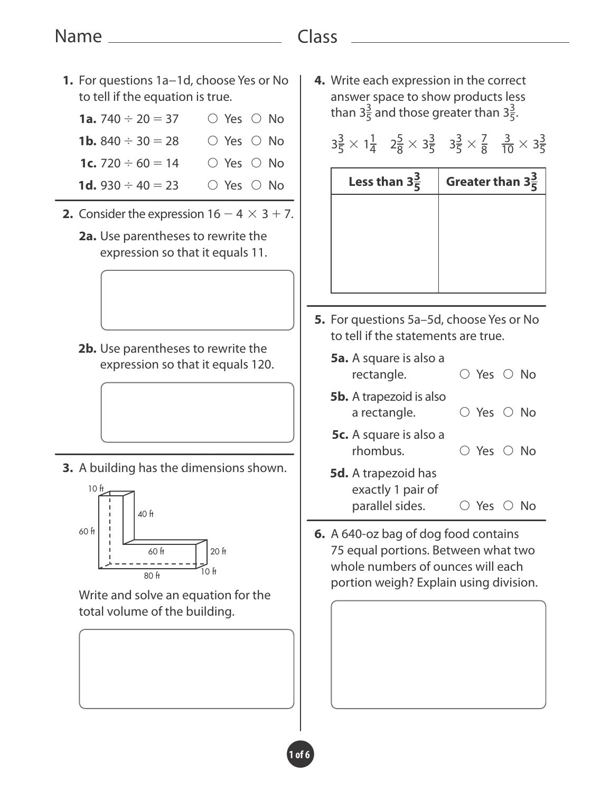# Name

# Class

**1.** For questions 1a−1d, choose Yes or No to tell if the equation is true. **1a.** 740  $\div$  20 = 37  $\circ$  Yes  $\circ$  No **1b.** 840  $\div$  30 = 28  $\circ$  Yes  $\circ$  No **1c.** 720  $\div$  60 = 14  $\circ$  Yes  $\circ$  No **1d.** 930  $\div$  40 = 23  $\circ$  Yes  $\circ$  No **2.** Consider the expression  $16 - 4 \times 3 + 7$ . **2a.** Use parentheses to rewrite the expression so that it equals 11. **2b.** Use parentheses to rewrite the expression so that it equals 120. **3.** A building has the dimensions shown. 20 ft  $\frac{10}{80 \text{ ft}}$  10 ft 60 ft 60 ft 40 ft 10 ft Write and solve an equation for the total volume of the building. **4.** Write each expression in the correct answer space to show products less than  $3\frac{3}{5}$  and those greater than  $3\frac{3}{5}$ .  $3\frac{3}{5} \times 1\frac{1}{4}$   $2\frac{5}{8} \times 3\frac{3}{5}$   $3\frac{3}{5} \times \frac{7}{8}$  $\frac{3}{10} \times 3\frac{3}{5}$ **Less than 3<sup>3</sup>**  $\frac{3}{5}$  Greater than  $3\frac{3}{5}$ **5.** For questions 5a–5d, choose Yes or No to tell if the statements are true. **5a.** A square is also a rectangle. ○ Yes ○ No **5b.** A trapezoid is also a rectangle.  $\bigcirc$  Yes  $\bigcirc$  No **5c.** A square is also a rhombus. ○ Yes ○ No **5d.** A trapezoid has exactly 1 pair of parallel sides. ○ Yes ○ No **6.** A 640-oz bag of dog food contains 75 equal portions. Between what two whole numbers of ounces will each portion weigh? Explain using division.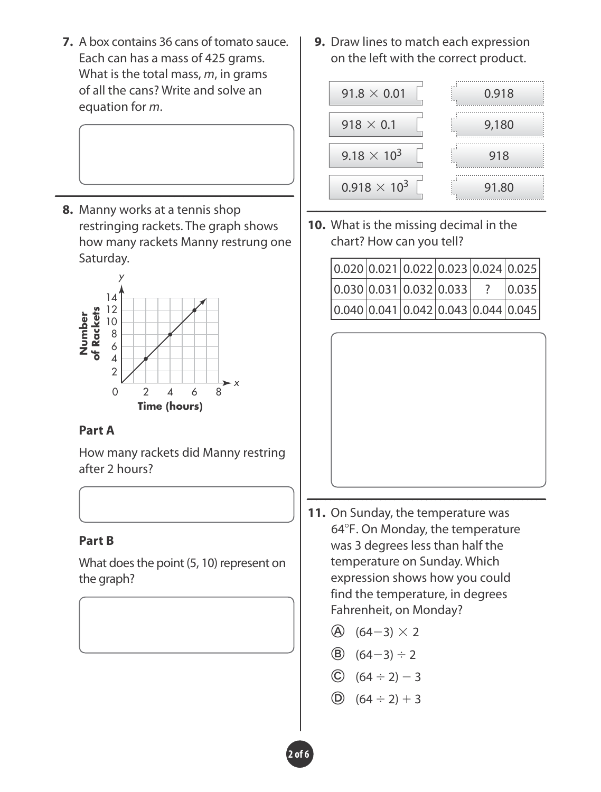**7.** A box contains 36 cans of tomato sauce. Each can has a mass of 425 grams. What is the total mass, *m*, in grams of all the cans? Write and solve an equation for *m*.

**8.** Manny works at a tennis shop restringing rackets. The graph shows how many rackets Manny restrung one Saturday.



#### **Part A**

How many rackets did Manny restring after 2 hours?

#### **Part B**

What does the point (5, 10) represent on the graph?

**9.** Draw lines to match each expression on the left with the correct product.



**10.** What is the missing decimal in the chart? How can you tell?

| 0.020 0.021 0.022 0.023 0.024 0.025 |  |  |       |
|-------------------------------------|--|--|-------|
| $ 0.030 0.031 0.032 0.033 $ ?       |  |  | 0.035 |
| 0.040 0.041 0.042 0.043 0.044 0.045 |  |  |       |



- **11.** On Sunday, the temperature was 64°F. On Monday, the temperature was 3 degrees less than half the temperature on Sunday. Which expression shows how you could find the temperature, in degrees Fahrenheit, on Monday?
	- $(A)$  (64-3)  $\times$  2
	- **(64-3)**  $\div$  2
	- $\circled{C}$   $(64 \div 2) 3$
	- $\circled{)}$   $(64 \div 2) + 3$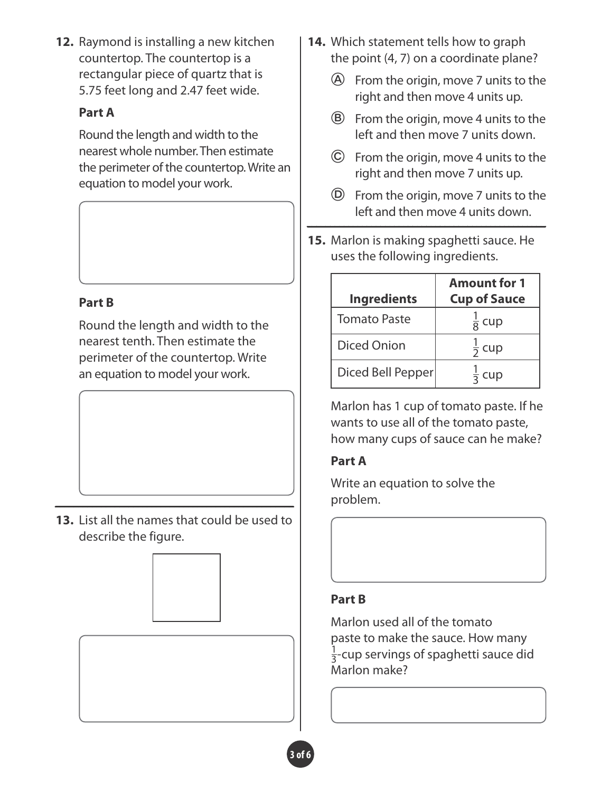**12.** Raymond is installing a new kitchen countertop. The countertop is a rectangular piece of quartz that is 5.75 feet long and 2.47 feet wide.

### **Part A**

Round the length and width to the nearest whole number. Then estimate the perimeter of the countertop. Write an equation to model your work.

### **Part B**

Round the length and width to the nearest tenth. Then estimate the perimeter of the countertop. Write an equation to model your work.

**13.** List all the names that could be used to describe the figure.



- **14.** Which statement tells how to graph the point (4, 7) on a coordinate plane?
	- From the origin, move 7 units to the right and then move 4 units up.
	- From the origin, move 4 units to the left and then move 7 units down.
	- $\odot$  From the origin, move 4 units to the right and then move 7 units up.
	- $\circled{D}$  From the origin, move 7 units to the left and then move 4 units down.
- **15.** Marlon is making spaghetti sauce. He uses the following ingredients.

|                     | <b>Amount for 1</b> |
|---------------------|---------------------|
| <b>Ingredients</b>  | <b>Cup of Sauce</b> |
| <b>Tomato Paste</b> | $\frac{1}{8}$ cup   |
| <b>Diced Onion</b>  | $rac{1}{2}$ cup     |
| Diced Bell Pepper   | $\frac{1}{3}$ cup   |

Marlon has 1 cup of tomato paste. If he wants to use all of the tomato paste, how many cups of sauce can he make?

# **Part A**

Write an equation to solve the problem.

# **Part B**

Marlon used all of the tomato paste to make the sauce. How many  $\frac{1}{3}$ -cup servings of spaghetti sauce did Marlon make?

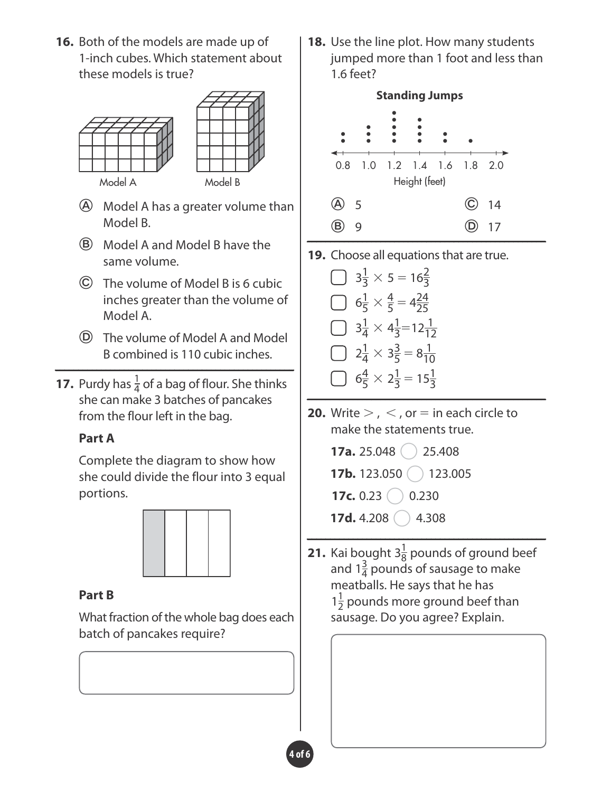**16.** Both of the models are made up of 1-inch cubes. Which statement about these models is true?



- Model A has a greater volume than Model B.
- Model A and Model B have the same volume.
- The volume of Model B is 6 cubic inches greater than the volume of Model A.
- The volume of Model A and Model B combined is 110 cubic inches.
- **17.** Purdy has  $\frac{1}{4}$  of a bag of flour. She thinks she can make 3 batches of pancakes from the flour left in the bag.

# **Part A**

Complete the diagram to show how she could divide the flour into 3 equal portions.



# **Part B**

What fraction of the whole bag does each batch of pancakes require?

**18.** Use the line plot. How many students jumped more than 1 foot and less than 1.6 feet?



**19.** Choose all equations that are true.

 $3\frac{1}{3} \times 5 = 16\frac{2}{3}$  $6\frac{1}{5} \times \frac{4}{5} = 4\frac{24}{25}$  $3\frac{1}{4} \times 4\frac{1}{3} = 12\frac{1}{12}$  $2\frac{1}{4} \times 3\frac{3}{5} = 8\frac{1}{10}$  $6\frac{4}{5} \times 2\frac{1}{3} = 15\frac{1}{3}$ 

**20.** Write  $>$  ,  $<$  , or  $=$  in each circle to make the statements true.

> **17a.** 25.048 ○ 25.408 **17b.** 123.050 ( ) 123.005 **17c.** 0.23  $\binom{0.23}{0.230}$ **17d.** 4.208 ○ 4.308

**21.** Kai bought  $3\frac{1}{8}$  pounds of ground beef and  $1\frac{3}{4}$  pounds of sausage to make meatballs. He says that he has  $1\frac{1}{2}$  pounds more ground beef than sausage. Do you agree? Explain.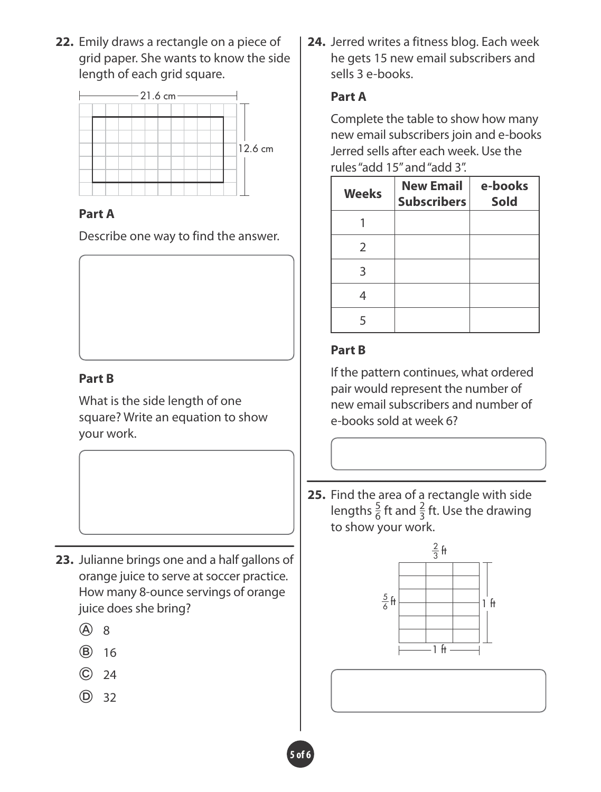**22.** Emily draws a rectangle on a piece of grid paper. She wants to know the side length of each grid square.



### **Part A**

Describe one way to find the answer.

# **Part B**

What is the side length of one square? Write an equation to show your work.

- **23.** Julianne brings one and a half gallons of orange juice to serve at soccer practice. How many 8-ounce servings of orange juice does she bring?
	- (A) 8
	- $(B)$  16
	- $\odot$  24
	- $(D)$  32

**24.** Jerred writes a fitness blog. Each week he gets 15 new email subscribers and sells 3 e-books.

### **Part A**

Complete the table to show how many new email subscribers join and e-books Jerred sells after each week. Use the rules "add 15" and "add 3".

| <b>Weeks</b>  | <b>New Email</b><br><b>Subscribers</b> | e-books<br><b>Sold</b> |
|---------------|----------------------------------------|------------------------|
|               |                                        |                        |
| $\mathcal{P}$ |                                        |                        |
| З             |                                        |                        |
|               |                                        |                        |
| 5             |                                        |                        |

#### **Part B**

If the pattern continues, what ordered pair would represent the number of new email subscribers and number of e-books sold at week 6?

**25.** Find the area of a rectangle with side lengths  $\frac{5}{6}$  ft and  $\frac{2}{3}$  ft. Use the drawing to show your work.